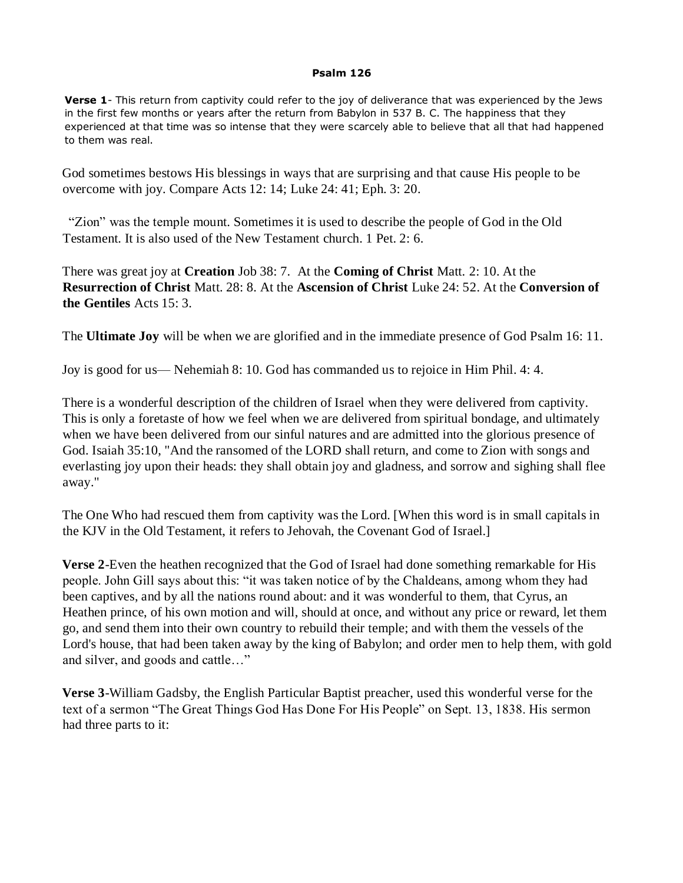## **Psalm 126**

**Verse 1**- This return from captivity could refer to the joy of deliverance that was experienced by the Jews in the first few months or years after the return from Babylon in 537 B. C. The happiness that they experienced at that time was so intense that they were scarcely able to believe that all that had happened to them was real.

God sometimes bestows His blessings in ways that are surprising and that cause His people to be overcome with joy. Compare Acts 12: 14; Luke 24: 41; Eph. 3: 20.

 "Zion" was the temple mount. Sometimes it is used to describe the people of God in the Old Testament. It is also used of the New Testament church. 1 Pet. 2: 6.

There was great joy at **Creation** Job 38: 7. At the **Coming of Christ** Matt. 2: 10. At the **Resurrection of Christ** Matt. 28: 8. At the **Ascension of Christ** Luke 24: 52. At the **Conversion of the Gentiles** Acts 15: 3.

The **Ultimate Joy** will be when we are glorified and in the immediate presence of God Psalm 16: 11.

Joy is good for us— Nehemiah 8: 10. God has commanded us to rejoice in Him Phil. 4: 4.

There is a wonderful description of the children of Israel when they were delivered from captivity. This is only a foretaste of how we feel when we are delivered from spiritual bondage, and ultimately when we have been delivered from our sinful natures and are admitted into the glorious presence of God. Isaiah 35:10, "And the ransomed of the LORD shall return, and come to Zion with songs and everlasting joy upon their heads: they shall obtain joy and gladness, and sorrow and sighing shall flee away."

The One Who had rescued them from captivity was the Lord. [When this word is in small capitals in the KJV in the Old Testament, it refers to Jehovah, the Covenant God of Israel.]

**Verse 2**-Even the heathen recognized that the God of Israel had done something remarkable for His people. John Gill says about this: "it was taken notice of by the Chaldeans, among whom they had been captives, and by all the nations round about: and it was wonderful to them, that Cyrus, an Heathen prince, of his own motion and will, should at once, and without any price or reward, let them go, and send them into their own country to rebuild their temple; and with them the vessels of the Lord's house, that had been taken away by the king of Babylon; and order men to help them, with gold and silver, and goods and cattle…"

**Verse 3**-William Gadsby, the English Particular Baptist preacher, used this wonderful verse for the text of a sermon "The Great Things God Has Done For His People" on Sept. 13, 1838. His sermon had three parts to it: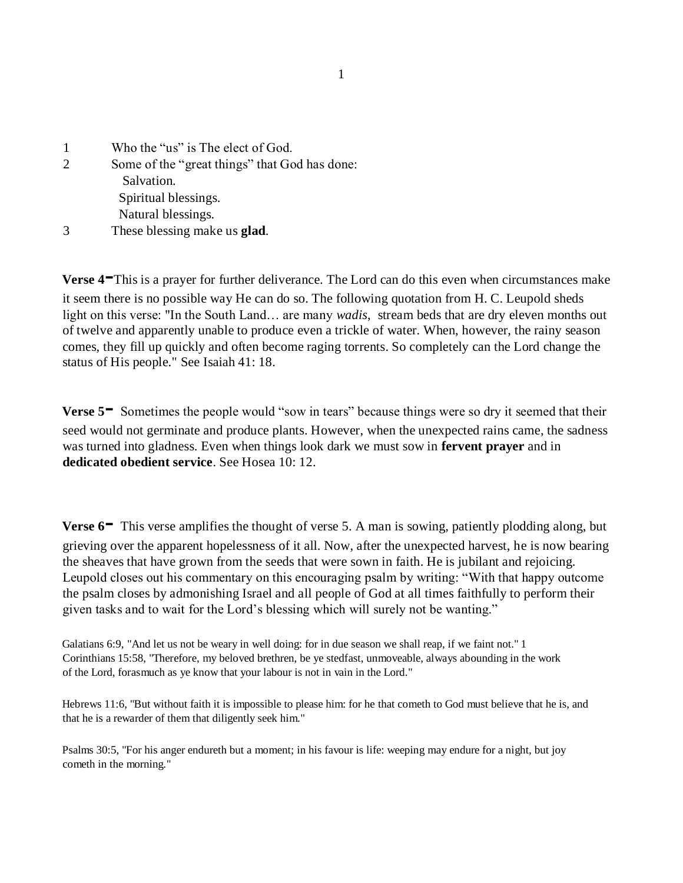| $\mathbf{1}$   | Who the "us" is The elect of God.             |
|----------------|-----------------------------------------------|
| $\overline{2}$ | Some of the "great things" that God has done: |
|                | Salvation.                                    |
|                | Spiritual blessings.                          |
|                | Natural blessings.                            |
| 3              | These blessing make us <b>glad</b> .          |

**Verse 4-**This is a prayer for further deliverance. The Lord can do this even when circumstances make it seem there is no possible way He can do so. The following quotation from H. C. Leupold sheds light on this verse: "In the South Land… are many *wadis*, stream beds that are dry eleven months out of twelve and apparently unable to produce even a trickle of water. When, however, the rainy season comes, they fill up quickly and often become raging torrents. So completely can the Lord change the status of His people." See Isaiah 41: 18.

**Verse 5<sup>** $\text{ }$ **</sup>** Sometimes the people would "sow in tears" because things were so dry it seemed that their seed would not germinate and produce plants. However, when the unexpected rains came, the sadness was turned into gladness. Even when things look dark we must sow in **fervent prayer** and in **dedicated obedient service**. See Hosea 10: 12.

**Verse 6<sup>-</sup>** This verse amplifies the thought of verse 5. A man is sowing, patiently plodding along, but grieving over the apparent hopelessness of it all. Now, after the unexpected harvest, he is now bearing the sheaves that have grown from the seeds that were sown in faith. He is jubilant and rejoicing. Leupold closes out his commentary on this encouraging psalm by writing: "With that happy outcome the psalm closes by admonishing Israel and all people of God at all times faithfully to perform their given tasks and to wait for the Lord's blessing which will surely not be wanting."

Galatians 6:9, "And let us not be weary in well doing: for in due season we shall reap, if we faint not." 1 Corinthians 15:58, "Therefore, my beloved brethren, be ye stedfast, unmoveable, always abounding in the work of the Lord, forasmuch as ye know that your labour is not in vain in the Lord."

Hebrews 11:6, "But without faith it is impossible to please him: for he that cometh to God must believe that he is, and that he is a rewarder of them that diligently seek him."

Psalms 30:5, "For his anger endureth but a moment; in his favour is life: weeping may endure for a night, but joy cometh in the morning."

1